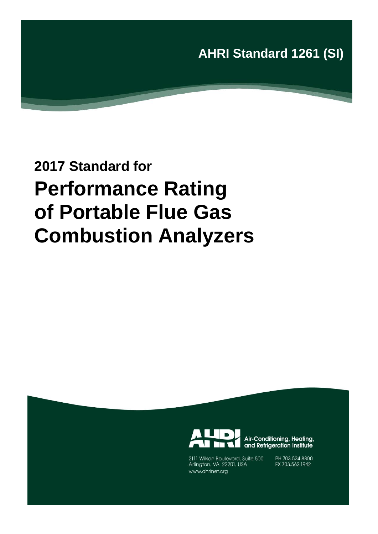**AHRI Standard 1261 (SI)**

# **2017 Standard for Performance Rating of Portable Flue Gas Combustion Analyzers**



Air-Conditioning, Heating, and Refrigeration Institute

2111 Wilson Boulevard, Suite 500 Arlington, VA 22201, USA www.ahrinet.org

PH 703.524.8800 FX 703.562.1942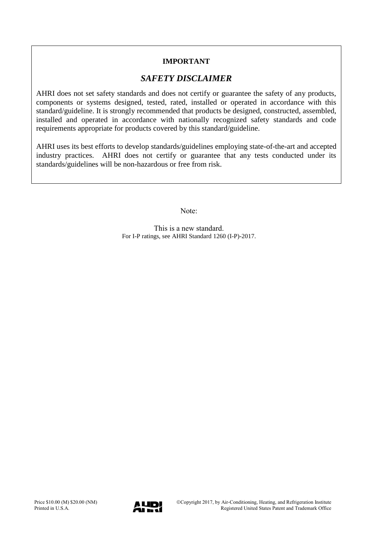### **IMPORTANT**

### *SAFETY DISCLAIMER*

AHRI does not set safety standards and does not certify or guarantee the safety of any products, components or systems designed, tested, rated, installed or operated in accordance with this standard/guideline. It is strongly recommended that products be designed, constructed, assembled, installed and operated in accordance with nationally recognized safety standards and code requirements appropriate for products covered by this standard/guideline.

AHRI uses its best efforts to develop standards/guidelines employing state-of-the-art and accepted industry practices. AHRI does not certify or guarantee that any tests conducted under its standards/guidelines will be non-hazardous or free from risk.

Note:

This is a new standard. For I-P ratings, see AHRI Standard 1260 (I-P)-2017.

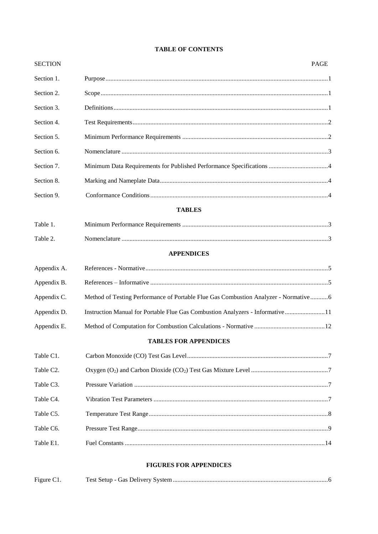|  | <b>TABLE OF CONTENTS</b> |
|--|--------------------------|
|--|--------------------------|

| <b>SECTION</b> |                                                                                       | <b>PAGE</b> |
|----------------|---------------------------------------------------------------------------------------|-------------|
| Section 1.     |                                                                                       |             |
| Section 2.     |                                                                                       |             |
| Section 3.     |                                                                                       |             |
| Section 4.     |                                                                                       |             |
| Section 5.     |                                                                                       |             |
| Section 6.     |                                                                                       |             |
| Section 7.     |                                                                                       |             |
| Section 8.     |                                                                                       |             |
| Section 9.     |                                                                                       |             |
|                | <b>TABLES</b>                                                                         |             |
| Table 1.       |                                                                                       |             |
| Table 2.       |                                                                                       |             |
|                | <b>APPENDICES</b>                                                                     |             |
| Appendix A.    |                                                                                       |             |
| Appendix B.    |                                                                                       |             |
| Appendix C.    | Method of Testing Performance of Portable Flue Gas Combustion Analyzer - Normative  6 |             |
| Appendix D.    | Instruction Manual for Portable Flue Gas Combustion Analyzers - Informative 11        |             |
| Appendix E.    |                                                                                       |             |
|                | <b>TABLES FOR APPENDICES</b>                                                          |             |
| Table C1.      |                                                                                       |             |
| Table C2.      |                                                                                       |             |
| Table C3.      |                                                                                       |             |
| Table C4.      |                                                                                       |             |
| Table C5.      |                                                                                       |             |
| Table C6.      |                                                                                       |             |
| Table E1.      |                                                                                       |             |

#### **FIGURES FOR APPENDICES**

| Figure C1.<br>Test Setup - Gas Delivery System |
|------------------------------------------------|
|------------------------------------------------|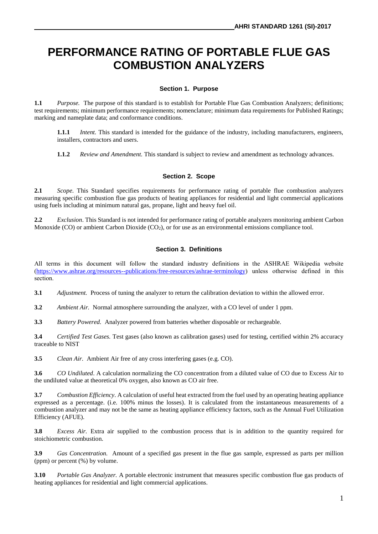## **PERFORMANCE RATING OF PORTABLE FLUE GAS COMBUSTION ANALYZERS**

#### **Section 1. Purpose**

**1.1** *Purpose.* The purpose of this standard is to establish for Portable Flue Gas Combustion Analyzers; definitions; test requirements; minimum performance requirements; nomenclature; minimum data requirements for Published Ratings; marking and nameplate data; and conformance conditions.

**1.1.1** *Intent.* This standard is intended for the guidance of the industry, including manufacturers, engineers, installers, contractors and users.

**1.1.2** *Review and Amendment.* This standard is subject to review and amendment as technology advances.

#### **Section 2. Scope**

**2.1** *Scope.* This Standard specifies requirements for performance rating of portable flue combustion analyzers measuring specific combustion flue gas products of heating appliances for residential and light commercial applications using fuels including at minimum natural gas, propane, light and heavy fuel oil.

**2.2** *Exclusion*. This Standard is not intended for performance rating of portable analyzers monitoring ambient Carbon Monoxide (CO) or ambient Carbon Dioxide (CO<sub>2</sub>), or for use as an environmental emissions compliance tool.

#### **Section 3. Definitions**

All terms in this document will follow the standard industry definitions in the ASHRAE Wikipedia website [\(https://www.ashrae.org/resources--publications/free-resources/ashrae-terminology\)](https://www.ashrae.org/resources--publications/free-resources/ashrae-terminology) unless otherwise defined in this section.

**3.1** *Adjustment.* Process of tuning the analyzer to return the calibration deviation to within the allowed error.

**3.2** *Ambient Air.* Normal atmosphere surrounding the analyzer, with a CO level of under 1 ppm.

**3.3** *Battery Powered.* Analyzer powered from batteries whether disposable or rechargeable.

**3.4** *Certified Test Gases.* Test gases (also known as calibration gases) used for testing, certified within 2% accuracy traceable to NIST

**3.5** *Clean Air.* Ambient Air free of any cross interfering gases (e.g. CO).

**3.6** *CO Undiluted*. A calculation normalizing the CO concentration from a diluted value of CO due to Excess Air to the undiluted value at theoretical 0% oxygen, also known as CO air free.

**3.7** *Combustion Efficiency*. A calculation of useful heat extracted from the fuel used by an operating heating appliance expressed as a percentage. (i.e. 100% minus the losses). It is calculated from the instantaneous measurements of a combustion analyzer and may not be the same as heating appliance efficiency factors, such as the Annual Fuel Utilization Efficiency (AFUE).

**3.8** *Excess Air.* Extra air supplied to the combustion process that is in addition to the quantity required for stoichiometric combustion.

**3.9** *Gas Concentration.* Amount of a specified gas present in the flue gas sample, expressed as parts per million (ppm) or percent (%) by volume.

**3.10** *Portable Gas Analyzer.* A portable electronic instrument that measures specific combustion flue gas products of heating appliances for residential and light commercial applications.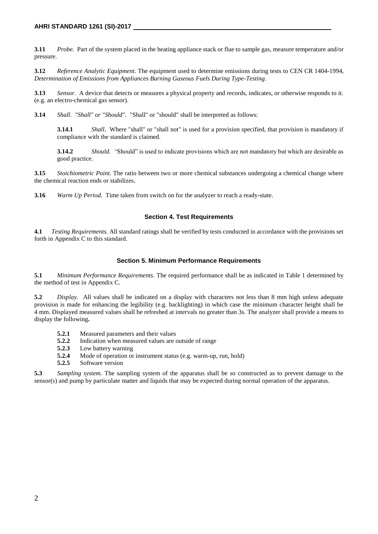**3.11** *Probe.* Part of the system placed in the heating appliance stack or flue to sample gas, measure temperature and/or pressure.

**3.12** *Reference Analytic Equipment.* The equipment used to determine emissions during tests to CEN CR 1404-1994, *Determination of Emissions from Appliances Burning Gaseous Fuels During Type-Testing*.

**3.13** *Sensor.* A device that detects or measures a physical property and records, indicates, or otherwise responds to it. (e.g. an electro-chemical gas sensor).

**3.14** *Shall*. *"Shall" or "Should".* "Shall" or "should" shall be interpreted as follows:

**3.14.1** *Shall.* Where "shall" or "shall not" is used for a provision specified, that provision is mandatory if compliance with the standard is claimed.

**3.14.2** *Should. "*Should" is used to indicate provisions which are not mandatory but which are desirable as good practice.

**3.15** *Stoichiometric Point.* The ratio between two or more chemical substances undergoing a chemical change where the chemical reaction ends or stabilizes.

**3.16** *Warm Up Period.* Time taken from switch on for the analyzer to reach a ready-state.

#### **Section 4. Test Requirements**

**4.1** *Testing Requirements.* All standard ratings shall be verified by tests conducted in accordance with the provisions set forth in Appendix C to this standard.

#### **Section 5. Minimum Performance Requirements**

**5.1** *Minimum Performance Requirements.* The required performance shall be as indicated in Table 1 determined by the method of test in Appendix C.

**5.2** *Display.* All values shall be indicated on a display with characters not less than 8 mm high unless adequate provision is made for enhancing the legibility (e.g. backlighting) in which case the minimum character height shall be 4 mm. Displayed measured values shall be refreshed at intervals no greater than 3s. The analyzer shall provide a means to display the following**.**

- **5.2.1** Measured parameters and their values
- **5.2.2** Indication when measured values are outside of range
- **5.2.3** Low battery warning
- **5.2.4** Mode of operation or instrument status (e.g. warm-up, run, hold)
- **5.2.5** Software version

**5.3** *Sampling system.* The sampling system of the apparatus shall be so constructed as to prevent damage to the sensor(s) and pump by particulate matter and liquids that may be expected during normal operation of the apparatus.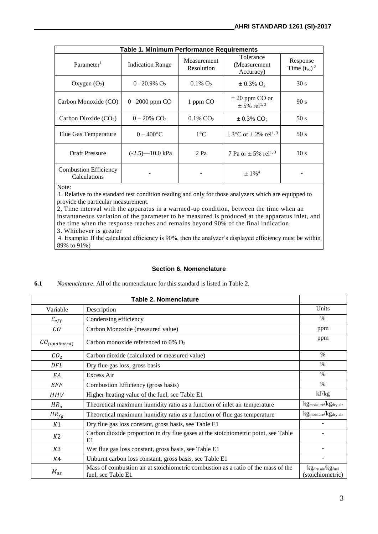| Table 1. Minimum Performance Requirements           |                             |                           |                                                    |                               |
|-----------------------------------------------------|-----------------------------|---------------------------|----------------------------------------------------|-------------------------------|
| Parameter <sup>1</sup>                              | <b>Indication Range</b>     | Measurement<br>Resolution | Tolerance<br>(Measurement)<br>Accuracy)            | Response<br>Time $(t_{90})^2$ |
| Oxygen $(O_2)$                                      | $0 - 20.9\%$ O <sub>2</sub> | $0.1\%$ O <sub>2</sub>    | $\pm 0.3\%$ O <sub>2</sub>                         | 30 s                          |
| Carbon Monoxide (CO)                                | $0 - 2000$ ppm CO           | 1 ppm CO                  | $\pm 20$ ppm CO or<br>$\pm$ 5% rel <sup>1, 3</sup> | 90 s                          |
| Carbon Dioxide $(CO2)$                              | $0 - 20\%$ CO <sub>2</sub>  | $0.1\%$ CO <sub>2</sub>   | $\pm$ 0.3% CO <sub>2</sub>                         | 50 s                          |
| Flue Gas Temperature                                | $0 - 400$ °C                | $1^{\circ}C$              | $\pm$ 3°C or $\pm$ 2% rel <sup>1, 3</sup>          | 50 s                          |
| <b>Draft Pressure</b>                               | $(-2.5)$ -10.0 kPa          | 2 Pa                      | 7 Pa or $\pm$ 5% rel <sup>1, 3</sup>               | 10 <sub>s</sub>               |
| <b>Combustion Efficiency</b><br><b>Calculations</b> |                             |                           | $\pm 1\%$ <sup>4</sup>                             |                               |

Note:

1. Relative to the standard test condition reading and only for those analyzers which are equipped to provide the particular measurement.

2, Time interval with the apparatus in a warmed-up condition, between the time when an instantaneous variation of the parameter to be measured is produced at the apparatus inlet, and the time when the response reaches and remains beyond 90% of the final indication 3. Whichever is greater

4. Example: If the calculated efficiency is 90%, then the analyzer's displayed efficiency must be within 89% to 91%)

#### **Section 6. Nomenclature**

#### **6.1** *Nomenclature*. All of the nomenclature for this standard is listed in Table 2.

| <b>Table 2. Nomenclature</b> |                                                                                                         |                                               |
|------------------------------|---------------------------------------------------------------------------------------------------------|-----------------------------------------------|
| Variable                     | Description                                                                                             | Units                                         |
| $C_{eff}$                    | Condensing efficiency                                                                                   | $\%$                                          |
| CO                           | Carbon Monoxide (measured value)                                                                        | ppm                                           |
| $CO_{(undiluted)}$           | Carbon monoxide referenced to 0% $O_2$                                                                  | ppm                                           |
| CO <sub>2</sub>              | Carbon dioxide (calculated or measured value)                                                           | $\%$                                          |
| DFL                          | Dry flue gas loss, gross basis                                                                          | $\%$                                          |
| EΑ                           | Excess Air                                                                                              | $\%$                                          |
| EFF                          | Combustion Efficiency (gross basis)                                                                     | $\%$                                          |
| <b>HHV</b>                   | Higher heating value of the fuel, see Table E1                                                          | kJ/kg                                         |
| $HR_a$                       | Theoretical maximum humidity ratio as a function of inlet air temperature                               | kg <sub>moisture</sub> /kg <sub>dry air</sub> |
| $HR_{fg}$                    | Theoretical maximum humidity ratio as a function of flue gas temperature                                | $kgmoisture/kgdry air$                        |
| K1                           | Dry flue gas loss constant, gross basis, see Table E1                                                   |                                               |
| K2                           | Carbon dioxide proportion in dry flue gases at the stoichiometric point, see Table<br>E1                |                                               |
| K3                           | Wet flue gas loss constant, gross basis, see Table E1                                                   |                                               |
| K4                           | Unburnt carbon loss constant, gross basis, see Table E1                                                 |                                               |
| $M_{as}$                     | Mass of combustion air at stoichiometric combustion as a ratio of the mass of the<br>fuel, see Table E1 | $kgdry air/kgfuel$<br>(stoichiometric)        |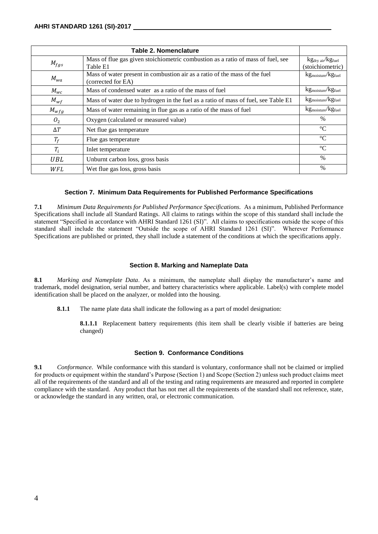|                | Table 2. Nomenclature                                                                            |                                                              |
|----------------|--------------------------------------------------------------------------------------------------|--------------------------------------------------------------|
| $M_{fgs}$      | Mass of flue gas given stoichiometric combustion as a ratio of mass of fuel, see<br>Table E1     | kg <sub>dry</sub> air/kg <sub>fuel</sub><br>(stoichiometric) |
| $M_{wa}$       | Mass of water present in combustion air as a ratio of the mass of the fuel<br>(corrected for EA) | $kgmoisture/kgfuel$                                          |
| $M_{wc}$       | Mass of condensed water as a ratio of the mass of fuel                                           | $kgmoisture/kgfuel$                                          |
| $M_{wf}$       | Mass of water due to hydrogen in the fuel as a ratio of mass of fuel, see Table E1               | kg <sub>moisture</sub> /kg <sub>fuel</sub>                   |
| $M_{wfg}$      | Mass of water remaining in flue gas as a ratio of the mass of fuel                               | kg <sub>moisture</sub> /kg <sub>fuel</sub>                   |
| O <sub>2</sub> | Oxygen (calculated or measured value)                                                            | $\%$                                                         |
| $\Delta T$     | Net flue gas temperature                                                                         | $\rm ^{\circ}C$                                              |
| $T_f$          | Flue gas temperature                                                                             | $\rm ^{\circ}C$                                              |
| $T_i$          | Inlet temperature                                                                                | $\rm ^{\circ}C$                                              |
| <b>UBL</b>     | Unburnt carbon loss, gross basis                                                                 | $\%$                                                         |
| WFL            | Wet flue gas loss, gross basis                                                                   | $\frac{0}{0}$                                                |

#### **Section 7. Minimum Data Requirements for Published Performance Specifications**

**7.1** *Minimum Data Requirements for Published Performance Specifications.* As a minimum, Published Performance Specifications shall include all Standard Ratings. All claims to ratings within the scope of this standard shall include the statement "Specified in accordance with AHRI Standard 1261 (SI)". All claims to specifications outside the scope of this standard shall include the statement "Outside the scope of AHRI Standard 1261 (SI)". Wherever Performance Specifications are published or printed, they shall include a statement of the conditions at which the specifications apply.

#### **Section 8. Marking and Nameplate Data**

**8.1** *Marking and Nameplate Data*. As a minimum, the nameplate shall display the manufacturer's name and trademark, model designation, serial number, and battery characteristics where applicable. Label(s) with complete model identification shall be placed on the analyzer, or molded into the housing.

**8.1.1** The name plate data shall indicate the following as a part of model designation:

**8.1.1.1** Replacement battery requirements (this item shall be clearly visible if batteries are being changed)

#### **Section 9. Conformance Conditions**

**9.1** *Conformance.* While conformance with this standard is voluntary, conformance shall not be claimed or implied for products or equipment within the standard's Purpose (Section 1) and Scope (Section 2) unless such product claims meet all of the requirements of the standard and all of the testing and rating requirements are measured and reported in complete compliance with the standard. Any product that has not met all the requirements of the standard shall not reference, state, or acknowledge the standard in any written, oral, or electronic communication.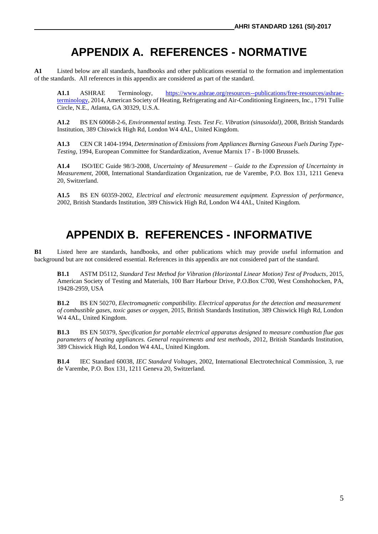### **APPENDIX A. REFERENCES - NORMATIVE**

**A1** Listed below are all standards, handbooks and other publications essential to the formation and implementation of the standards. All references in this appendix are considered as part of the standard.

**A1.1** ASHRAE Terminology, [https://www.ashrae.org/resources--publications/free-resources/ashrae](https://www.ashrae.org/resources--publications/free-resources/ashrae-terminology)[terminology,](https://www.ashrae.org/resources--publications/free-resources/ashrae-terminology) 2014, American Society of Heating, Refrigerating and Air-Conditioning Engineers, Inc., 1791 Tullie Circle, N.E., Atlanta, GA 30329, U.S.A.

**A1.2** BS EN 60068-2-6, *Environmental testing. Tests. Test Fc. Vibration (sinusoidal)*, 2008, British Standards Institution, 389 Chiswick High Rd, London W4 4AL, United Kingdom.

**A1.3** CEN CR 1404-1994, *Determination of Emissions from Appliances Burning Gaseous Fuels During Type-Testing*, 1994, European Committee for Standardization, Avenue Marnix 17 - B-1000 Brussels.

**A1.4** ISO/IEC Guide 98/3-2008, *Uncertainty of Measurement – Guide to the Expression of Uncertainty in Measurement*, 2008, International Standardization Organization, rue de Varembe, P.O. Box 131, 1211 Geneva 20, Switzerland.

**A1.5** BS EN 60359-2002, *Electrical and electronic measurement equipment. Expression of performance,*  2002, British Standards Institution, 389 Chiswick High Rd, London W4 4AL, United Kingdom.

### **APPENDIX B. REFERENCES - INFORMATIVE**

**B1** Listed here are standards, handbooks, and other publications which may provide useful information and background but are not considered essential. References in this appendix are not considered part of the standard.

**B1.1** ASTM D5112, *Standard Test Method for Vibration (Horizontal Linear Motion) Test of Products*, 2015, American Society of Testing and Materials, 100 Barr Harbour Drive, P.O.Box C700, West Conshohocken, PA, 19428-2959, USA

**B1.2** BS EN 50270, *Electromagnetic compatibility. Electrical apparatus for the detection and measurement of combustible gases, toxic gases or oxygen*, 2015, British Standards Institution, 389 Chiswick High Rd, London W4 4AL, United Kingdom.

**B1.3** BS EN 50379, *Specification for portable electrical apparatus designed to measure combustion flue gas parameters of heating appliances. General requirements and test methods*, 2012, British Standards Institution, 389 Chiswick High Rd, London W4 4AL, United Kingdom.

**B1.4** IEC Standard 60038, *IEC Standard Voltages*, 2002, International Electrotechnical Commission, 3, rue de Varembe, P.O. Box 131, 1211 Geneva 20, Switzerland.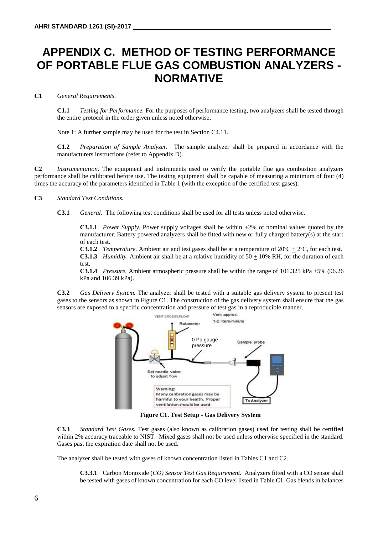### **APPENDIX C. METHOD OF TESTING PERFORMANCE OF PORTABLE FLUE GAS COMBUSTION ANALYZERS - NORMATIVE**

#### **C1** *General Requirements.*

**C1.1** *Testing for Performance.* For the purposes of performance testing, two analyzers shall be tested through the entire protocol in the order given unless noted otherwise.

Note 1: A further sample may be used for the test in Section C4.11.

**C1.2** *Preparation of Sample Analyzer.* The sample analyzer shall be prepared in accordance with the manufacturers instructions (refer to Appendix D).

**C2** *Instrumentation*. The equipment and instruments used to verify the portable flue gas combustion analyzers performance shall be calibrated before use. The testing equipment shall be capable of measuring a minimum of four (4) times the accuracy of the parameters identified in Table 1 (with the exception of the certified test gases).

#### **C3** *Standard Test Conditions.*

**C3.1** *General.* The following test conditions shall be used for all tests unless noted otherwise.

**C3.1.1** *Power Supply.* Power supply voltages shall be within +2% of nominal values quoted by the manufacturer. Battery powered analyzers shall be fitted with new or fully charged battery(s) at the start of each test.

**C3.1.2** *Temperature.* Ambient air and test gases shall be at a temperature of  $20^{\circ}C + 2^{\circ}C$ , for each test. **C3.1.3** *Humidity.* Ambient air shall be at a relative humidity of 50 + 10% RH, for the duration of each test.

**C3.1.4** *Pressure.* Ambient atmospheric pressure shall be within the range of 101.325 kPa  $\pm$ 5% (96.26) kPa and 106.39 kPa).

**C3.2** *Gas Delivery System.* The analyzer shall be tested with a suitable gas delivery system to present test gases to the sensors as shown in Figure C1. The construction of the gas delivery system shall ensure that the gas sensors are exposed to a specific concentration and pressure of test gas in a reproducible manner.



**Figure C1. Test Setup - Gas Delivery System**

**C3.3** *Standard Test Gases.* Test gases (also known as calibration gases) used for testing shall be certified within 2% accuracy traceable to NIST. Mixed gases shall not be used unless otherwise specified in the standard. Gases past the expiration date shall not be used.

The analyzer shall be tested with gases of known concentration listed in Tables C1 and C2.

**C3.3.1** Carbon Monoxide (*CO) Sensor Test Gas Requirement.* Analyzers fitted with a CO sensor shall be tested with gases of known concentration for each CO level listed in Table C1. Gas blends in balances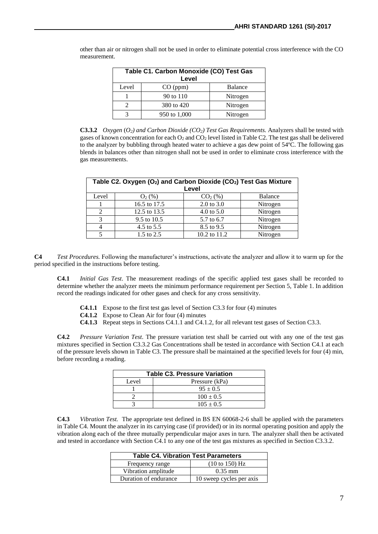| Table C1. Carbon Monoxide (CO) Test Gas<br>Level |              |          |
|--------------------------------------------------|--------------|----------|
| Level                                            | $CO$ (ppm)   | Balance  |
|                                                  | 90 to 110    | Nitrogen |
|                                                  | 380 to 420   | Nitrogen |
|                                                  | 950 to 1,000 | Nitrogen |

other than air or nitrogen shall not be used in order to eliminate potential cross interference with the CO measurement.

**C3.3.2** *Oxygen* (*O2) and Carbon Dioxide (CO2) Test Gas Requirements.* Analyzers shall be tested with gases of known concentration for each  $O_2$  and  $CO_2$  level listed in Table C2. The test gas shall be delivered to the analyzer by bubbling through heated water to achieve a gas dew point of 54ºC. The following gas blends in balances other than nitrogen shall not be used in order to eliminate cross interference with the gas measurements.

| Table C2. Oxygen (O <sub>2</sub> ) and Carbon Dioxide (CO <sub>2</sub> ) Test Gas Mixture |              |              |          |
|-------------------------------------------------------------------------------------------|--------------|--------------|----------|
|                                                                                           |              | Level        |          |
| Level                                                                                     | $O_2(\%)$    | $CO2(\%)$    | Balance  |
|                                                                                           | 16.5 to 17.5 | 2.0 to 3.0   | Nitrogen |
| ↑                                                                                         | 12.5 to 13.5 | 4.0 to $5.0$ | Nitrogen |
| $\overline{2}$                                                                            | 9.5 to 10.5  | 5.7 to 6.7   | Nitrogen |
|                                                                                           | 4.5 to 5.5   | 8.5 to 9.5   | Nitrogen |
|                                                                                           | 1.5 to 2.5   | 10.2 to 11.2 | Nitrogen |

**C4** *Test Procedures.* Following the manufacturer's instructions, activate the analyzer and allow it to warm up for the period specified in the instructions before testing.

**C4.1** *Initial Gas Test*. The measurement readings of the specific applied test gases shall be recorded to determine whether the analyzer meets the minimum performance requirement per Section 5, Table 1. In addition record the readings indicated for other gases and check for any cross sensitivity.

- **C4.1.1** Expose to the first test gas level of Section C3.3 for four (4) minutes
- **C4.1.2** Expose to Clean Air for four (4) minutes
- **C4.1.3** Repeat steps in Sections C4.1.1 and C4.1.2, for all relevant test gases of Section C3.3.

**C4.2** *Pressure Variation Test*. The pressure variation test shall be carried out with any one of the test gas mixtures specified in Section C3.3.2 Gas Concentrations shall be tested in accordance with Section C4.1 at each of the pressure levels shown in Table C3. The pressure shall be maintained at the specified levels for four (4) min, before recording a reading.

| <b>Table C3. Pressure Variation</b> |                |
|-------------------------------------|----------------|
| Level                               | Pressure (kPa) |
|                                     | $95 + 0.5$     |
|                                     | $100 \pm 0.5$  |
|                                     | $105 \pm 0.5$  |

**C4.3** *Vibration Test.* The appropriate test defined in BS EN 60068-2-6 shall be applied with the parameters in Table C4. Mount the analyzer in its carrying case (if provided) or in its normal operating position and apply the vibration along each of the three mutually perpendicular major axes in turn. The analyzer shall then be activated and tested in accordance with Section C4.1 to any one of the test gas mixtures as specified in Section C3.3.2.

| <b>Table C4. Vibration Test Parameters</b> |                          |
|--------------------------------------------|--------------------------|
| Frequency range                            | (10 to 150) Hz           |
| Vibration amplitude                        | $0.35$ mm                |
| Duration of endurance                      | 10 sweep cycles per axis |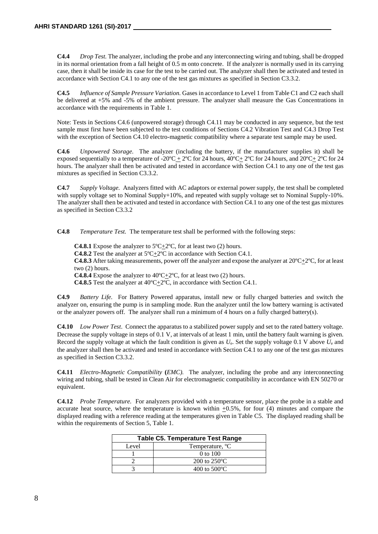**C4.4** *Drop Test.* The analyzer, including the probe and any interconnecting wiring and tubing, shall be dropped in its normal orientation from a fall height of 0.5 m onto concrete. If the analyzer is normally used in its carrying case, then it shall be inside its case for the test to be carried out. The analyzer shall then be activated and tested in accordance with Section C4.1 to any one of the test gas mixtures as specified in Section C3.3.2.

**C4.5** *Influence of Sample Pressure Variation.* Gases in accordance to Level 1 from Table C1 and C2 each shall be delivered at +5% and -5% of the ambient pressure. The analyzer shall measure the Gas Concentrations in accordance with the requirements in Table 1.

Note: Tests in Sections C4.6 (unpowered storage) through C4.11 may be conducted in any sequence, but the test sample must first have been subjected to the test conditions of Sections C4.2 Vibration Test and C4.3 Drop Test with the exception of Section C4.10 electro-magnetic compatibility where a separate test sample may be used.

**C4.6** *Unpowered Storage.* The analyzer (including the battery, if the manufacturer supplies it) shall be exposed sequentially to a temperature of -20 $^{\circ}C + 2^{\circ}C$  for 24 hours,  $40^{\circ}C + 2^{\circ}C$  for 24 hours, and  $20^{\circ}C + 2^{\circ}C$  for 24 hours. The analyzer shall then be activated and tested in accordance with Section C4.1 to any one of the test gas mixtures as specified in Section C3.3.2.

**C4.7** *Supply Voltage.* Analyzers fitted with AC adaptors or external power supply, the test shall be completed with supply voltage set to Nominal Supply+10%, and repeated with supply voltage set to Nominal Supply-10%. The analyzer shall then be activated and tested in accordance with Section C4.1 to any one of the test gas mixtures as specified in Section C3.3.2

**C4.8** *Temperature Test.* The temperature test shall be performed with the following steps:

**C4.8.1** Expose the analyzer to  $5^{\circ}C + 2^{\circ}C$ , for at least two (2) hours. **C4.8.2** Test the analyzer at 5ºC+2ºC in accordance with Section C4.1. **C4.8.3** After taking measurements, power off the analyzer and expose the analyzer at 20°C $\pm$ 2°C, for at least two (2) hours. **C4.8.4** Expose the analyzer to 40ºC+2ºC, for at least two (2) hours. **C4.8.5** Test the analyzer at 40ºC+2ºC, in accordance with Section C4.1.

**C4.9** *Battery Life.* For Battery Powered apparatus, install new or fully charged batteries and switch the analyzer on, ensuring the pump is in sampling mode. Run the analyzer until the low battery warning is activated or the analyzer powers off. The analyzer shall run a minimum of 4 hours on a fully charged battery(s).

**C4.10** *Low Power Test*. Connect the apparatus to a stabilized power supply and set to the rated battery voltage. Decrease the supply voltage in steps of 0.1 V, at intervals of at least 1 min, until the battery fault warning is given. Record the supply voltage at which the fault condition is given as  $U_e$ . Set the supply voltage 0.1 V above  $U_e$  and the analyzer shall then be activated and tested in accordance with Section C4.1 to any one of the test gas mixtures as specified in Section C3.3.2.

**C4.11** *Electro-Magnetic Compatibility* **(***EMC).* The analyzer, including the probe and any interconnecting wiring and tubing, shall be tested in Clean Air for electromagnetic compatibility in accordance with EN 50270 or equivalent.

**C4.12** *Probe Temperature.*For analyzers provided with a temperature sensor, place the probe in a stable and accurate heat source, where the temperature is known within  $+0.5\%$ , for four (4) minutes and compare the displayed reading with a reference reading at the temperatures given in Table C5. The displayed reading shall be within the requirements of Section 5, Table 1.

| <b>Table C5. Temperature Test Range</b> |                                 |
|-----------------------------------------|---------------------------------|
| Level                                   | Temperature, <sup>o</sup> C     |
|                                         | $0$ to $100$                    |
|                                         | $200 \text{ to } 250^{\circ}$ C |
|                                         | 400 to $500^{\circ}$ C          |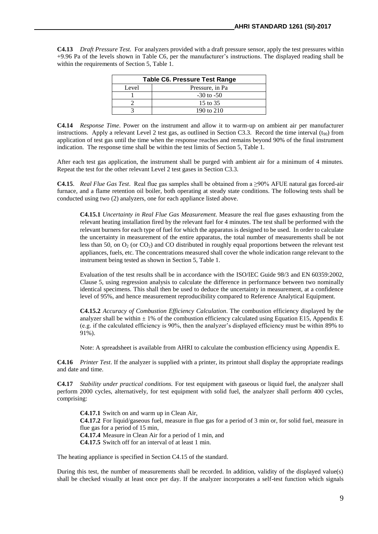**C4.13** *Draft Pressure Test.*For analyzers provided with a draft pressure sensor, apply the test pressures within +9.96 Pa of the levels shown in Table C6, per the manufacturer's instructions. The displayed reading shall be within the requirements of Section 5, Table 1.

| Table C6. Pressure Test Range |                 |
|-------------------------------|-----------------|
| Level                         | Pressure, in Pa |
|                               | $-30$ to $-50$  |
|                               | 15 to 35        |
|                               | 190 to 210      |

**C4.14** *Response Time*. Power on the instrument and allow it to warm-up on ambient air per manufacturer instructions. Apply a relevant Level 2 test gas, as outlined in Section C3.3. Record the time interval  $(t_{90})$  from application of test gas until the time when the response reaches and remains beyond 90% of the final instrument indication. The response time shall be within the test limits of Section 5, Table 1.

After each test gas application, the instrument shall be purged with ambient air for a minimum of 4 minutes. Repeat the test for the other relevant Level 2 test gases in Section C3.3.

**C4.15**. *Real Flue Gas Test*. Real flue gas samples shall be obtained from a ≥90% AFUE natural gas forced-air furnace, and a flame retention oil boiler, both operating at steady state conditions. The following tests shall be conducted using two (2) analyzers, one for each appliance listed above.

**C4.15.1** *Uncertainty in Real Flue Gas Measurement.* Measure the real flue gases exhausting from the relevant heating installation fired by the relevant fuel for 4 minutes. The test shall be performed with the relevant burners for each type of fuel for which the apparatus is designed to be used. In order to calculate the uncertainty in measurement of the entire apparatus, the total number of measurements shall be not less than 50, on  $O_2$  (or  $CO_2$ ) and CO distributed in roughly equal proportions between the relevant test appliances, fuels, etc. The concentrations measured shall cover the whole indication range relevant to the instrument being tested as shown in Section 5, Table 1.

Evaluation of the test results shall be in accordance with the ISO/IEC Guide 98/3 and EN 60359:2002, Clause 5, using regression analysis to calculate the difference in performance between two nominally identical specimens. This shall then be used to deduce the uncertainty in measurement, at a confidence level of 95%, and hence measurement reproducibility compared to Reference Analytical Equipment.

**C4.15.2** *Accuracy of Combustion Efficiency Calculation*. The combustion efficiency displayed by the analyzer shall be within  $\pm 1\%$  of the combustion efficiency calculated using Equation E15, Appendix E (e.g. if the calculated efficiency is 90%, then the analyzer's displayed efficiency must be within 89% to 91%).

Note: A spreadsheet is available from AHRI to calculate the combustion efficiency using Appendix E.

**C4.16** *Printer Test*. If the analyzer is supplied with a printer, its printout shall display the appropriate readings and date and time.

**C4.17** *Stability under practical conditions.* For test equipment with gaseous or liquid fuel, the analyzer shall perform 2000 cycles, alternatively, for test equipment with solid fuel, the analyzer shall perform 400 cycles, comprising:

**C4.17.1** Switch on and warm up in Clean Air, **C4.17.2** For liquid/gaseous fuel, measure in flue gas for a period of 3 min or, for solid fuel, measure in flue gas for a period of 15 min, **C4.17.4** Measure in Clean Air for a period of 1 min, and **C4.17.5** Switch off for an interval of at least 1 min.

The heating appliance is specified in Section C4.15 of the standard.

During this test, the number of measurements shall be recorded. In addition, validity of the displayed value(s) shall be checked visually at least once per day. If the analyzer incorporates a self-test function which signals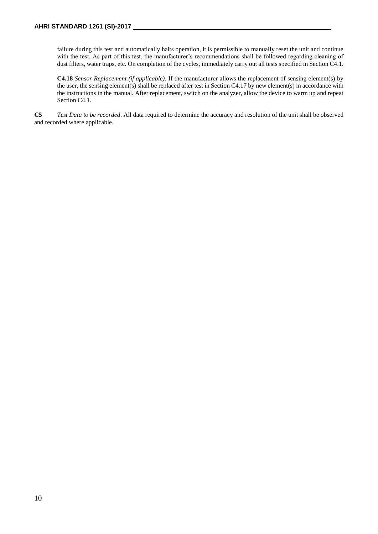failure during this test and automatically halts operation, it is permissible to manually reset the unit and continue with the test. As part of this test, the manufacturer's recommendations shall be followed regarding cleaning of dust filters, water traps, etc. On completion of the cycles, immediately carry out all tests specified in Section C4.1.

**C4.18** *Sensor Replacement (if applicable).* If the manufacturer allows the replacement of sensing element(s) by the user, the sensing element(s) shall be replaced after test in Section C4.17 by new element(s) in accordance with the instructions in the manual. After replacement, switch on the analyzer, allow the device to warm up and repeat Section C4.1.

**C5** *Test Data to be recorded*. All data required to determine the accuracy and resolution of the unit shall be observed and recorded where applicable.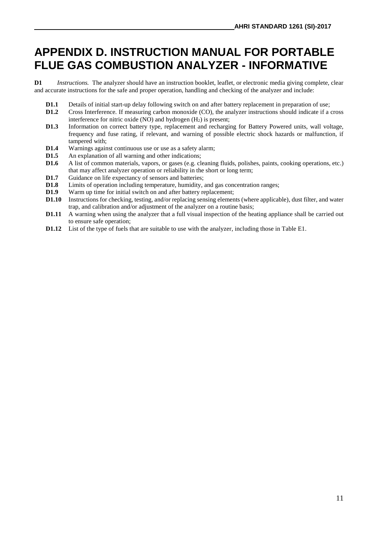# **APPENDIX D. INSTRUCTION MANUAL FOR PORTABLE FLUE GAS COMBUSTION ANALYZER - INFORMATIVE**

**D1** *Instructions.* The analyzer should have an instruction booklet, leaflet, or electronic media giving complete, clear and accurate instructions for the safe and proper operation, handling and checking of the analyzer and include:

- **D1.1** Details of initial start-up delay following switch on and after battery replacement in preparation of use;
- **D1.2** Cross Interference*.* If measuring carbon monoxide (CO), the analyzer instructions should indicate if a cross interference for nitric oxide (NO) and hydrogen  $(H<sub>2</sub>)$  is present;
- **D1.3** Information on correct battery type, replacement and recharging for Battery Powered units, wall voltage, frequency and fuse rating, if relevant, and warning of possible electric shock hazards or malfunction, if tampered with;
- **D1.4** Warnings against continuous use or use as a safety alarm;<br>**D1.5** An explanation of all warning and other indications:
- **D1.5** An explanation of all warning and other indications;<br>**D1.6** A list of common materials, vapors, or gases (e.g. cl
- **D1.6** A list of common materials, vapors, or gases (e.g. cleaning fluids, polishes, paints, cooking operations, etc.) that may affect analyzer operation or reliability in the short or long term;
- **D1.7** Guidance on life expectancy of sensors and batteries;
- **D1.8** Limits of operation including temperature, humidity, and gas concentration ranges;
- **D1.9** Warm up time for initial switch on and after battery replacement:
- **D1.10** Instructions for checking, testing, and/or replacing sensing elements (where applicable), dust filter, and water trap, and calibration and/or adjustment of the analyzer on a routine basis;
- **D1.11** A warning when using the analyzer that a full visual inspection of the heating appliance shall be carried out to ensure safe operation;
- **D1.12** List of the type of fuels that are suitable to use with the analyzer, including those in Table E1.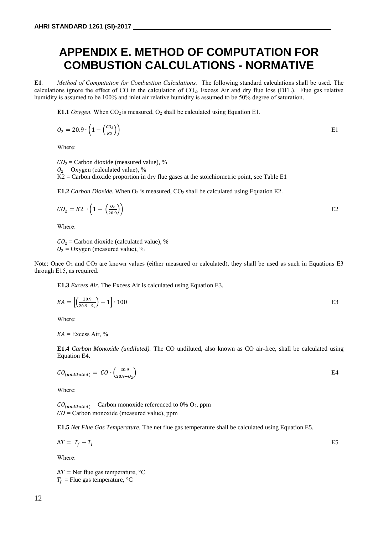### **APPENDIX E. METHOD OF COMPUTATION FOR COMBUSTION CALCULATIONS - NORMATIVE**

**E1***. Method of Computation for Combustion Calculations.* The following standard calculations shall be used. The calculations ignore the effect of CO in the calculation of  $CO<sub>2</sub>$ , Excess Air and dry flue loss (DFL). Flue gas relative humidity is assumed to be 100% and inlet air relative humidity is assumed to be 50% degree of saturation.

**E1.1** *Oxygen.* When  $CO_2$  is measured,  $O_2$  shall be calculated using Equation E1.

$$
O_2 = 20.9 \cdot \left(1 - \left(\frac{co_2}{\kappa_2}\right)\right)
$$

Where:

 $CO<sub>2</sub> =$  Carbon dioxide (measured value), %

 $O_2$  = Oxygen (calculated value), %

 $K2 =$  Carbon dioxide proportion in dry flue gases at the stoichiometric point, see Table E1

**E1.2** *Carbon Dioxide.* When  $O_2$  is measured,  $CO_2$  shall be calculated using Equation E2.

$$
CO_2 = K2 \cdot \left(1 - \left(\frac{O_2}{20.9}\right)\right) \tag{E2}
$$

Where:

 $CO<sub>2</sub> =$  Carbon dioxide (calculated value), %  $O_2$  = Oxygen (measured value), %

Note: Once  $O_2$  and  $CO_2$  are known values (either measured or calculated), they shall be used as such in Equations E3 through E15, as required.

**E1.3** *Excess Air.* The Excess Air is calculated using Equation E3.

$$
EA = \left[ \left( \frac{20.9}{20.9 - 0_2} \right) - 1 \right] \cdot 100
$$
 E3

Where:

 $EA =$  Excess Air, %

**E1.4** *Carbon Monoxide (undiluted).* The CO undiluted, also known as CO air-free, shall be calculated using Equation E4.

$$
CO_{(undiluted)} = CO \cdot \left(\frac{20.9}{20.9 - O_2}\right) \tag{E4}
$$

Where:

 $CO_{(undiluted)}$  = Carbon monoxide referenced to 0% O<sub>2</sub>, ppm  $CO =$  Carbon monoxide (measured value), ppm

**E1.5** *Net Flue Gas Temperature.* The net flue gas temperature shall be calculated using Equation E5.

 $\Delta T = T_f - T_i$  E5

Where:

 $\Delta T$  = Net flue gas temperature,  $\degree$ C  $T_f$  = Flue gas temperature, °C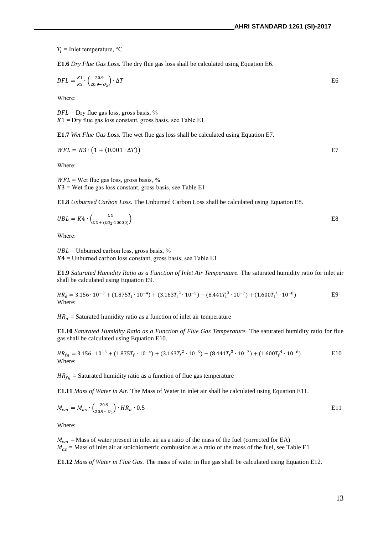$T_i$  = Inlet temperature,  $^{\circ}$ C

**E1.6** *Dry Flue Gas Loss.* The dry flue gas loss shall be calculated using Equation E6.

$$
DFL = \frac{K_1}{K_2} \cdot \left(\frac{20.9}{20.9 - 0_2}\right) \cdot \Delta T
$$

Where:

 $DFL = \text{Dry flue gas loss, gross basis}, %$  $K1 =$  Dry flue gas loss constant, gross basis, see Table E1

**E1.7** *Wet Flue Gas Loss.* The wet flue gas loss shall be calculated using Equation E7.

 $WFL = K3 \cdot (1 + (0.001 \cdot \Delta T))$  E7

Where:

 $WFL =$  Wet flue gas loss, gross basis, %  $K3$  = Wet flue gas loss constant, gross basis, see Table E1

**E1.8** *Unburned Carbon Loss.* The Unburned Carbon Loss shall be calculated using Equation E8.

$$
UBL = K4 \cdot \left(\frac{co}{co + (co_2 \cdot 10000)}\right)
$$

Where:

 $UBL =$  Unburned carbon loss, gross basis, %  $K4 =$  Unburned carbon loss constant, gross basis, see Table E1

**E1.9** *Saturated Humidity Ratio as a Function of Inlet Air Temperature.* The saturated humidity ratio for inlet air shall be calculated using Equation E9.

 $HR_a = 3.156 \cdot 10^{-3} + (1.875T_i \cdot 10^{-4}) + (3.163T_i^2 \cdot 10^{-5}) - (8.441T_i^3 \cdot 10^{-7}) + (1.600T_i^4 \cdot 10^{-8})$ ) E9 Where:

 $HR_a =$  Saturated humidity ratio as a function of inlet air temperature

**E1.10** *Saturated Humidity Ratio as a Function of Flue Gas Temperature.* The saturated humidity ratio for flue gas shall be calculated using Equation E10.

$$
HR_{fg} = 3.156 \cdot 10^{-3} + (1.875T_f \cdot 10^{-4}) + (3.163T_f^2 \cdot 10^{-5}) - (8.441T_f^3 \cdot 10^{-7}) + (1.600T_f^4 \cdot 10^{-8})
$$
 E10  
Where:

 $HR_{fa}$  = Saturated humidity ratio as a function of flue gas temperature

**E1.11** *Mass of Water in Air.* The Mass of Water in inlet air shall be calculated using Equation E11.

$$
M_{wa} = M_{as} \cdot \left(\frac{20.9}{20.9 - 0.2}\right) \cdot HR_a \cdot 0.5
$$
 E11

Where:

 $M_{wa}$  = Mass of water present in inlet air as a ratio of the mass of the fuel (corrected for EA)  $M_{as}$  = Mass of inlet air at stoichiometric combustion as a ratio of the mass of the fuel, see Table E1

**E1.12** *Mass of Water in Flue Gas.* The mass of water in flue gas shall be calculated using Equation E12.